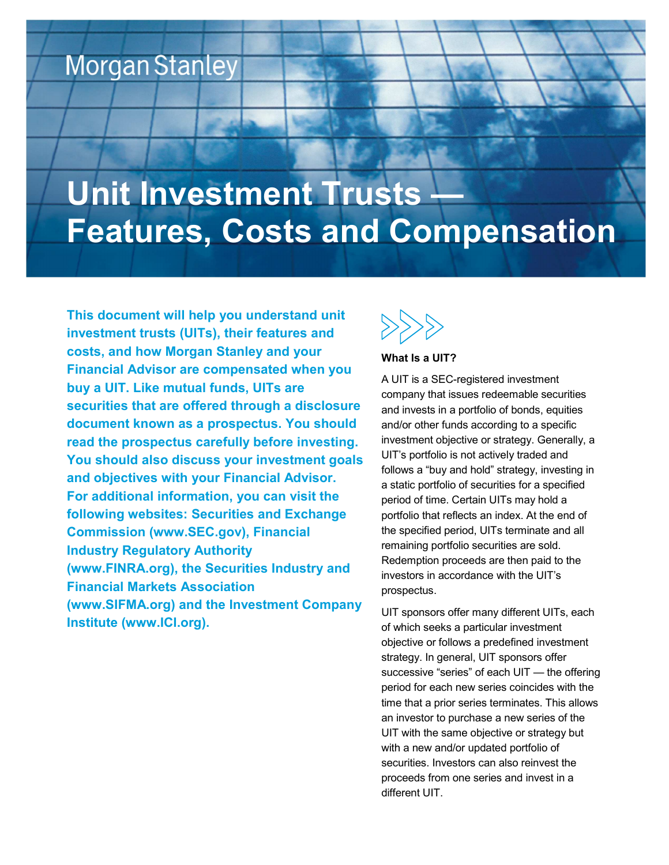# **Morgan Stanley**

# Unit Investment Trusts -Features, Costs and Compensation

This document will help you understand unit investment trusts (UITs), their features and costs, and how Morgan Stanley and your Financial Advisor are compensated when you buy a UIT. Like mutual funds, UITs are securities that are offered through a disclosure document known as a prospectus. You should read the prospectus carefully before investing. You should also discuss your investment goals and objectives with your Financial Advisor. For additional information, you can visit the following websites: Securities and Exchange Commission (www.SEC.gov), Financial Industry Regulatory Authority (www.FINRA.org), the Securities Industry and Financial Markets Association (www.SIFMA.org) and the Investment Company Institute (www.ICI.org).



#### What Is a UIT?

A UIT is a SEC-registered investment company that issues redeemable securities and invests in a portfolio of bonds, equities and/or other funds according to a specific investment objective or strategy. Generally, a UIT's portfolio is not actively traded and follows a "buy and hold" strategy, investing in a static portfolio of securities for a specified period of time. Certain UITs may hold a portfolio that reflects an index. At the end of the specified period, UITs terminate and all remaining portfolio securities are sold. Redemption proceeds are then paid to the investors in accordance with the UIT's prospectus.

UIT sponsors offer many different UITs, each of which seeks a particular investment objective or follows a predefined investment strategy. In general, UIT sponsors offer successive "series" of each UIT — the offering period for each new series coincides with the time that a prior series terminates. This allows an investor to purchase a new series of the UIT with the same objective or strategy but with a new and/or updated portfolio of securities. Investors can also reinvest the proceeds from one series and invest in a different UIT.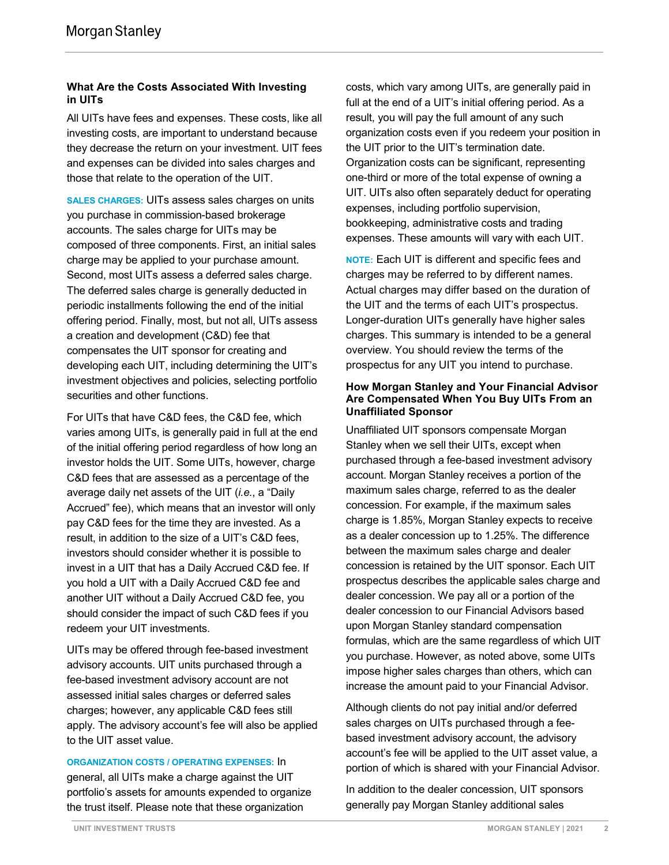# What Are the Costs Associated With Investing in UITs

All UITs have fees and expenses. These costs, like all investing costs, are important to understand because they decrease the return on your investment. UIT fees and expenses can be divided into sales charges and those that relate to the operation of the UIT.

SALES CHARGES: UITs assess sales charges on units you purchase in commission-based brokerage accounts. The sales charge for UITs may be composed of three components. First, an initial sales charge may be applied to your purchase amount. Second, most UITs assess a deferred sales charge. The deferred sales charge is generally deducted in periodic installments following the end of the initial offering period. Finally, most, but not all, UITs assess a creation and development (C&D) fee that compensates the UIT sponsor for creating and developing each UIT, including determining the UIT's investment objectives and policies, selecting portfolio securities and other functions.

For UITs that have C&D fees, the C&D fee, which varies among UITs, is generally paid in full at the end of the initial offering period regardless of how long an investor holds the UIT. Some UITs, however, charge C&D fees that are assessed as a percentage of the average daily net assets of the UIT (i.e., a "Daily Accrued" fee), which means that an investor will only pay C&D fees for the time they are invested. As a result, in addition to the size of a UIT's C&D fees, investors should consider whether it is possible to invest in a UIT that has a Daily Accrued C&D fee. If you hold a UIT with a Daily Accrued C&D fee and another UIT without a Daily Accrued C&D fee, you should consider the impact of such C&D fees if you redeem your UIT investments.

UITs may be offered through fee-based investment advisory accounts. UIT units purchased through a fee-based investment advisory account are not assessed initial sales charges or deferred sales charges; however, any applicable C&D fees still apply. The advisory account's fee will also be applied to the UIT asset value.

ORGANIZATION COSTS / OPERATING EXPENSES: In general, all UITs make a charge against the UIT portfolio's assets for amounts expended to organize the trust itself. Please note that these organization

costs, which vary among UITs, are generally paid in full at the end of a UIT's initial offering period. As a result, you will pay the full amount of any such organization costs even if you redeem your position in the UIT prior to the UIT's termination date. Organization costs can be significant, representing one-third or more of the total expense of owning a UIT. UITs also often separately deduct for operating expenses, including portfolio supervision, bookkeeping, administrative costs and trading expenses. These amounts will vary with each UIT.

NOTE: Each UIT is different and specific fees and charges may be referred to by different names. Actual charges may differ based on the duration of the UIT and the terms of each UIT's prospectus. Longer-duration UITs generally have higher sales charges. This summary is intended to be a general overview. You should review the terms of the prospectus for any UIT you intend to purchase.

#### How Morgan Stanley and Your Financial Advisor Are Compensated When You Buy UITs From an Unaffiliated Sponsor

Unaffiliated UIT sponsors compensate Morgan Stanley when we sell their UITs, except when purchased through a fee-based investment advisory account. Morgan Stanley receives a portion of the maximum sales charge, referred to as the dealer concession. For example, if the maximum sales charge is 1.85%, Morgan Stanley expects to receive as a dealer concession up to 1.25%. The difference between the maximum sales charge and dealer concession is retained by the UIT sponsor. Each UIT prospectus describes the applicable sales charge and dealer concession. We pay all or a portion of the dealer concession to our Financial Advisors based upon Morgan Stanley standard compensation formulas, which are the same regardless of which UIT you purchase. However, as noted above, some UITs impose higher sales charges than others, which can increase the amount paid to your Financial Advisor.

Although clients do not pay initial and/or deferred sales charges on UITs purchased through a feebased investment advisory account, the advisory account's fee will be applied to the UIT asset value, a portion of which is shared with your Financial Advisor.

In addition to the dealer concession, UIT sponsors generally pay Morgan Stanley additional sales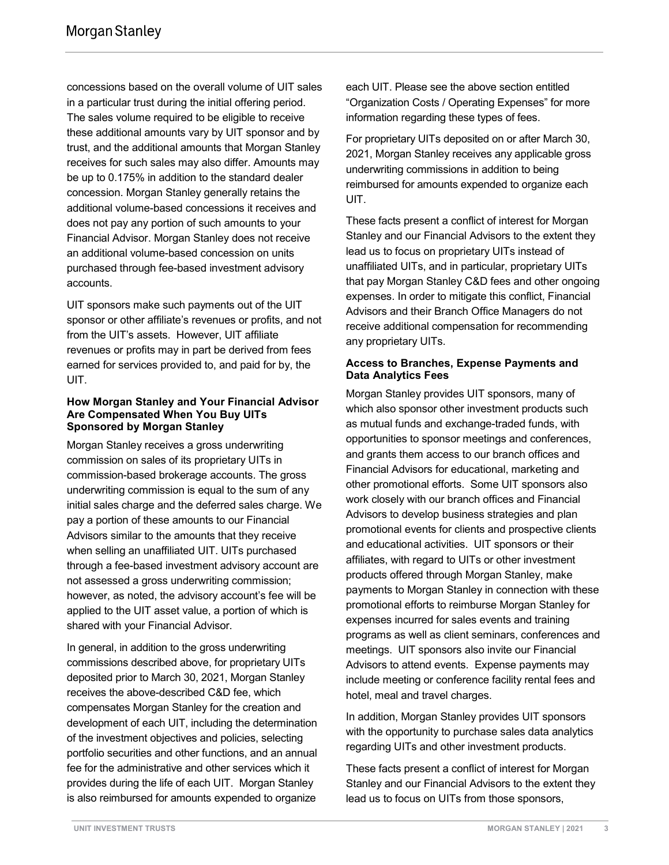concessions based on the overall volume of UIT sales in a particular trust during the initial offering period. The sales volume required to be eligible to receive these additional amounts vary by UIT sponsor and by trust, and the additional amounts that Morgan Stanley receives for such sales may also differ. Amounts may be up to 0.175% in addition to the standard dealer concession. Morgan Stanley generally retains the additional volume-based concessions it receives and does not pay any portion of such amounts to your Financial Advisor. Morgan Stanley does not receive an additional volume-based concession on units purchased through fee-based investment advisory accounts.

UIT sponsors make such payments out of the UIT sponsor or other affiliate's revenues or profits, and not from the UIT's assets. However, UIT affiliate revenues or profits may in part be derived from fees earned for services provided to, and paid for by, the UIT.

### How Morgan Stanley and Your Financial Advisor Are Compensated When You Buy UITs Sponsored by Morgan Stanley

Morgan Stanley receives a gross underwriting commission on sales of its proprietary UITs in commission-based brokerage accounts. The gross underwriting commission is equal to the sum of any initial sales charge and the deferred sales charge. We pay a portion of these amounts to our Financial Advisors similar to the amounts that they receive when selling an unaffiliated UIT. UITs purchased through a fee-based investment advisory account are not assessed a gross underwriting commission; however, as noted, the advisory account's fee will be applied to the UIT asset value, a portion of which is shared with your Financial Advisor.

In general, in addition to the gross underwriting commissions described above, for proprietary UITs deposited prior to March 30, 2021, Morgan Stanley receives the above-described C&D fee, which compensates Morgan Stanley for the creation and development of each UIT, including the determination of the investment objectives and policies, selecting portfolio securities and other functions, and an annual fee for the administrative and other services which it provides during the life of each UIT. Morgan Stanley is also reimbursed for amounts expended to organize

each UIT. Please see the above section entitled "Organization Costs / Operating Expenses" for more information regarding these types of fees.

For proprietary UITs deposited on or after March 30, 2021, Morgan Stanley receives any applicable gross underwriting commissions in addition to being reimbursed for amounts expended to organize each UIT.

These facts present a conflict of interest for Morgan Stanley and our Financial Advisors to the extent they lead us to focus on proprietary UITs instead of unaffiliated UITs, and in particular, proprietary UITs that pay Morgan Stanley C&D fees and other ongoing expenses. In order to mitigate this conflict, Financial Advisors and their Branch Office Managers do not receive additional compensation for recommending any proprietary UITs.

# Access to Branches, Expense Payments and Data Analytics Fees

Morgan Stanley provides UIT sponsors, many of which also sponsor other investment products such as mutual funds and exchange-traded funds, with opportunities to sponsor meetings and conferences, and grants them access to our branch offices and Financial Advisors for educational, marketing and other promotional efforts. Some UIT sponsors also work closely with our branch offices and Financial Advisors to develop business strategies and plan promotional events for clients and prospective clients and educational activities. UIT sponsors or their affiliates, with regard to UITs or other investment products offered through Morgan Stanley, make payments to Morgan Stanley in connection with these promotional efforts to reimburse Morgan Stanley for expenses incurred for sales events and training programs as well as client seminars, conferences and meetings. UIT sponsors also invite our Financial Advisors to attend events. Expense payments may include meeting or conference facility rental fees and hotel, meal and travel charges.

In addition, Morgan Stanley provides UIT sponsors with the opportunity to purchase sales data analytics regarding UITs and other investment products.

These facts present a conflict of interest for Morgan Stanley and our Financial Advisors to the extent they lead us to focus on UITs from those sponsors,